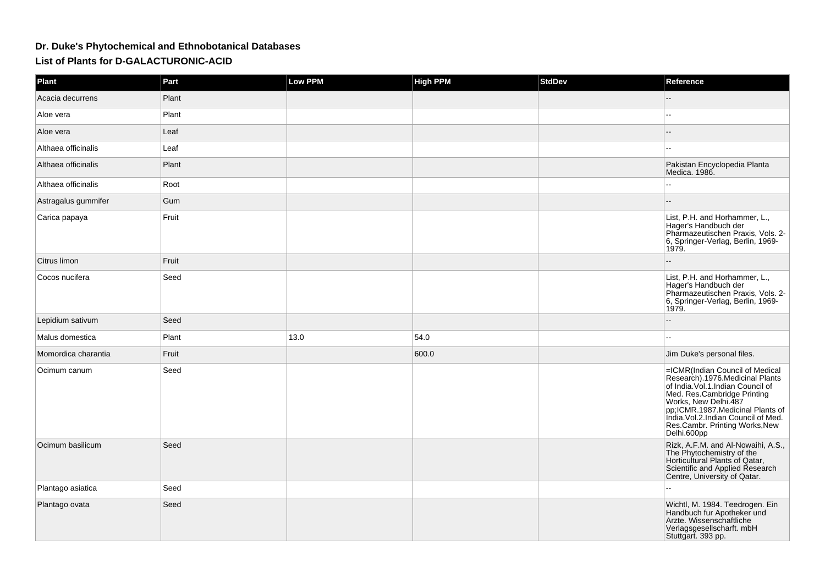## **Dr. Duke's Phytochemical and Ethnobotanical DatabasesList of Plants for D-GALACTURONIC-ACID**

| Plant               | Part  | Low PPM | <b>High PPM</b> | <b>StdDev</b> | Reference                                                                                                                                                                                                                                                                                   |
|---------------------|-------|---------|-----------------|---------------|---------------------------------------------------------------------------------------------------------------------------------------------------------------------------------------------------------------------------------------------------------------------------------------------|
| Acacia decurrens    | Plant |         |                 |               |                                                                                                                                                                                                                                                                                             |
| Aloe vera           | Plant |         |                 |               |                                                                                                                                                                                                                                                                                             |
| Aloe vera           | Leaf  |         |                 |               |                                                                                                                                                                                                                                                                                             |
| Althaea officinalis | Leaf  |         |                 |               |                                                                                                                                                                                                                                                                                             |
| Althaea officinalis | Plant |         |                 |               | Pakistan Encyclopedia Planta<br>Medica. 1986.                                                                                                                                                                                                                                               |
| Althaea officinalis | Root  |         |                 |               |                                                                                                                                                                                                                                                                                             |
| Astragalus gummifer | Gum   |         |                 |               |                                                                                                                                                                                                                                                                                             |
| Carica papaya       | Fruit |         |                 |               | List, P.H. and Horhammer, L.,<br>Hager's Handbuch der<br>Pharmazeutischen Praxis, Vols. 2-<br>6, Springer-Verlag, Berlin, 1969-<br>1979.                                                                                                                                                    |
| Citrus limon        | Fruit |         |                 |               |                                                                                                                                                                                                                                                                                             |
| Cocos nucifera      | Seed  |         |                 |               | List, P.H. and Horhammer, L.,<br>Hager's Handbuch der<br>Pharmazeutischen Praxis, Vols. 2-<br>6, Springer-Verlag, Berlin, 1969-<br>1979.                                                                                                                                                    |
| Lepidium sativum    | Seed  |         |                 |               |                                                                                                                                                                                                                                                                                             |
| Malus domestica     | Plant | 13.0    | 54.0            |               |                                                                                                                                                                                                                                                                                             |
| Momordica charantia | Fruit |         | 600.0           |               | Jim Duke's personal files.                                                                                                                                                                                                                                                                  |
| Ocimum canum        | Seed  |         |                 |               | =ICMR(Indian Council of Medical<br>Research).1976.Medicinal Plants<br>of India. Vol.1.Indian Council of<br>Med. Res.Cambridge Printing<br>Works, New Delhi.487<br>pp;ICMR.1987.Medicinal Plants of<br>India. Vol.2. Indian Council of Med.<br>Res.Cambr. Printing Works, New<br>Delhi.600pp |
| Ocimum basilicum    | Seed  |         |                 |               | Rizk, A.F.M. and Al-Nowaihi, A.S.,<br>The Phytochemistry of the<br>Horticultural Plants of Qatar,<br>Scientific and Applied Research<br>Centre, University of Qatar.                                                                                                                        |
| Plantago asiatica   | Seed  |         |                 |               |                                                                                                                                                                                                                                                                                             |
| Plantago ovata      | Seed  |         |                 |               | Wichtl, M. 1984. Teedrogen. Ein<br>Handbuch fur Apotheker und<br>Arzte. Wissenschaftliche<br>Verlagsgesellscharft. mbH<br>Stuttgart. 393 pp.                                                                                                                                                |